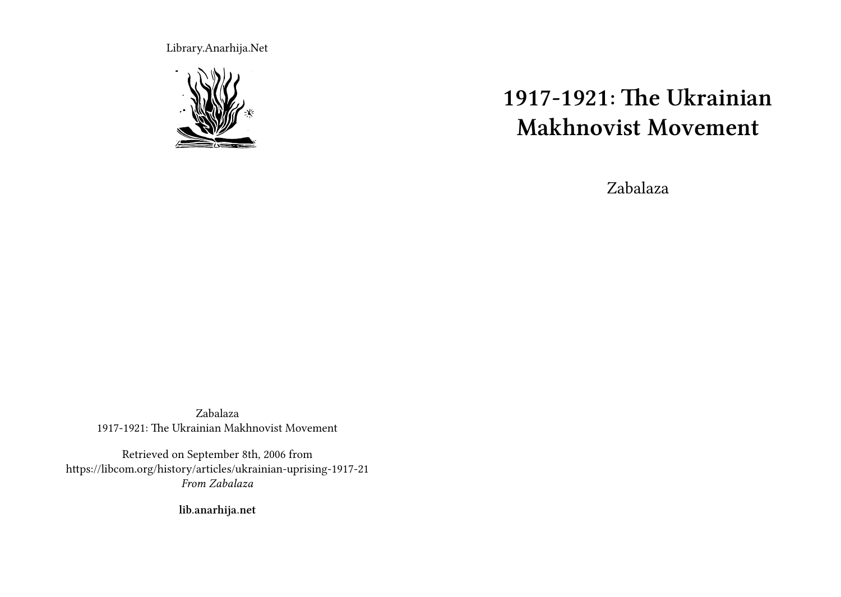Library.Anarhija.Net



# **1917-1921: The Ukrainian Makhnovist Movement**

Zabalaza

Zabalaza 1917-1921: The Ukrainian Makhnovist Movement

Retrieved on September 8th, 2006 from https://libcom.org/history/articles/ukrainian-uprising-1917-21 *From Zabalaza*

**lib.anarhija.net**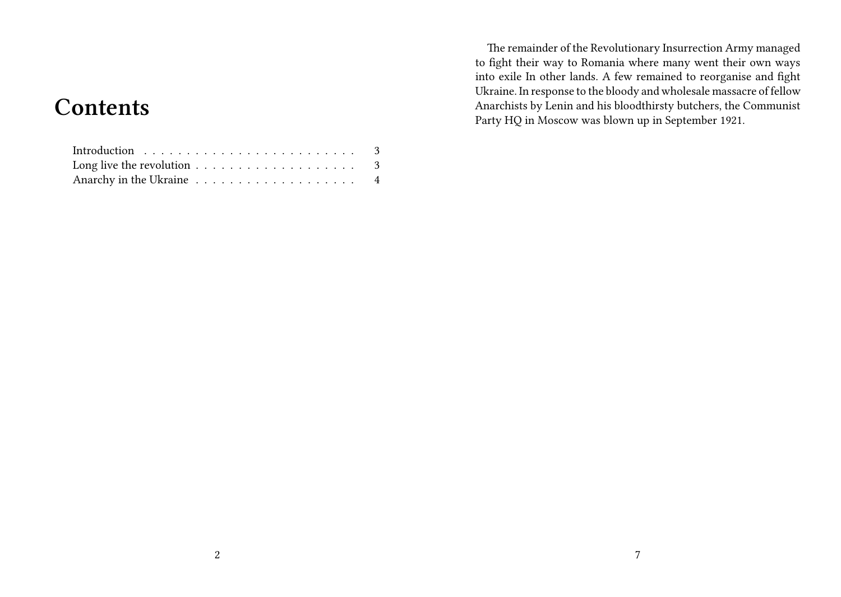## **Contents**

| Long live the revolution $\ldots \ldots \ldots \ldots \ldots \ldots$ 3 |  |
|------------------------------------------------------------------------|--|
|                                                                        |  |

The remainder of the Revolutionary Insurrection Army managed to fight their way to Romania where many went their own ways into exile In other lands. A few remained to reorganise and fight Ukraine. In response to the bloody and wholesale massacre of fellow Anarchists by Lenin and his bloodthirsty butchers, the Communist Party HQ in Moscow was blown up in September 1921.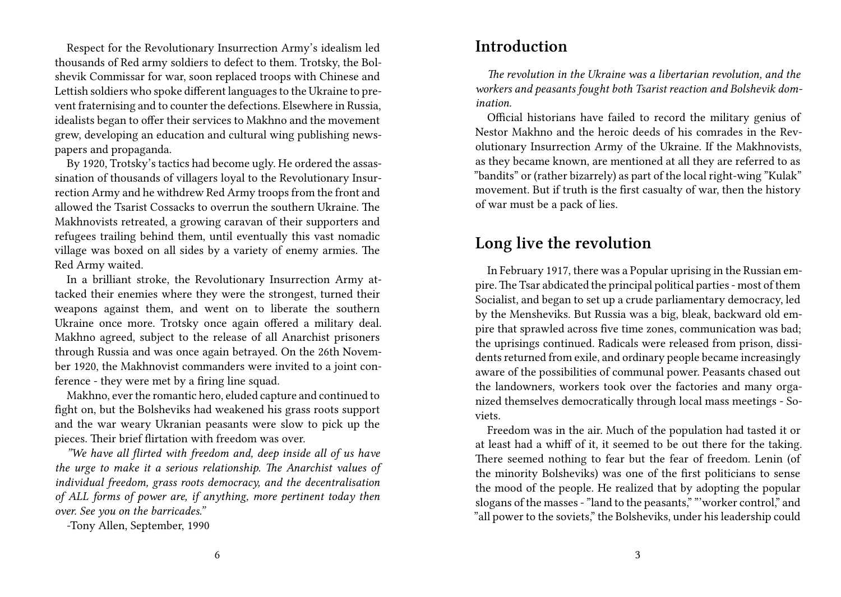Respect for the Revolutionary Insurrection Army's idealism led thousands of Red army soldiers to defect to them. Trotsky, the Bolshevik Commissar for war, soon replaced troops with Chinese and Lettish soldiers who spoke different languages to the Ukraine to prevent fraternising and to counter the defections. Elsewhere in Russia, idealists began to offer their services to Makhno and the movement grew, developing an education and cultural wing publishing newspapers and propaganda.

By 1920, Trotsky's tactics had become ugly. He ordered the assassination of thousands of villagers loyal to the Revolutionary Insurrection Army and he withdrew Red Army troops from the front and allowed the Tsarist Cossacks to overrun the southern Ukraine. The Makhnovists retreated, a growing caravan of their supporters and refugees trailing behind them, until eventually this vast nomadic village was boxed on all sides by a variety of enemy armies. The Red Army waited.

In a brilliant stroke, the Revolutionary Insurrection Army attacked their enemies where they were the strongest, turned their weapons against them, and went on to liberate the southern Ukraine once more. Trotsky once again offered a military deal. Makhno agreed, subject to the release of all Anarchist prisoners through Russia and was once again betrayed. On the 26th November 1920, the Makhnovist commanders were invited to a joint conference - they were met by a firing line squad.

Makhno, ever the romantic hero, eluded capture and continued to fight on, but the Bolsheviks had weakened his grass roots support and the war weary Ukranian peasants were slow to pick up the pieces. Their brief flirtation with freedom was over.

*"We have all flirted with freedom and, deep inside all of us have the urge to make it a serious relationship. The Anarchist values of individual freedom, grass roots democracy, and the decentralisation of ALL forms of power are, if anything, more pertinent today then over. See you on the barricades."*

-Tony Allen, September, 1990

#### **Introduction**

*The revolution in the Ukraine was a libertarian revolution, and the workers and peasants fought both Tsarist reaction and Bolshevik domination.*

Official historians have failed to record the military genius of Nestor Makhno and the heroic deeds of his comrades in the Revolutionary Insurrection Army of the Ukraine. If the Makhnovists, as they became known, are mentioned at all they are referred to as "bandits" or (rather bizarrely) as part of the local right-wing "Kulak" movement. But if truth is the first casualty of war, then the history of war must be a pack of lies.

### **Long live the revolution**

In February 1917, there was a Popular uprising in the Russian empire.The Tsar abdicated the principal political parties - most of them Socialist, and began to set up a crude parliamentary democracy, led by the Mensheviks. But Russia was a big, bleak, backward old empire that sprawled across five time zones, communication was bad; the uprisings continued. Radicals were released from prison, dissidents returned from exile, and ordinary people became increasingly aware of the possibilities of communal power. Peasants chased out the landowners, workers took over the factories and many organized themselves democratically through local mass meetings - Soviets.

Freedom was in the air. Much of the population had tasted it or at least had a whiff of it, it seemed to be out there for the taking. There seemed nothing to fear but the fear of freedom. Lenin (of the minority Bolsheviks) was one of the first politicians to sense the mood of the people. He realized that by adopting the popular slogans of the masses - "land to the peasants," "'worker control," and "all power to the soviets," the Bolsheviks, under his leadership could